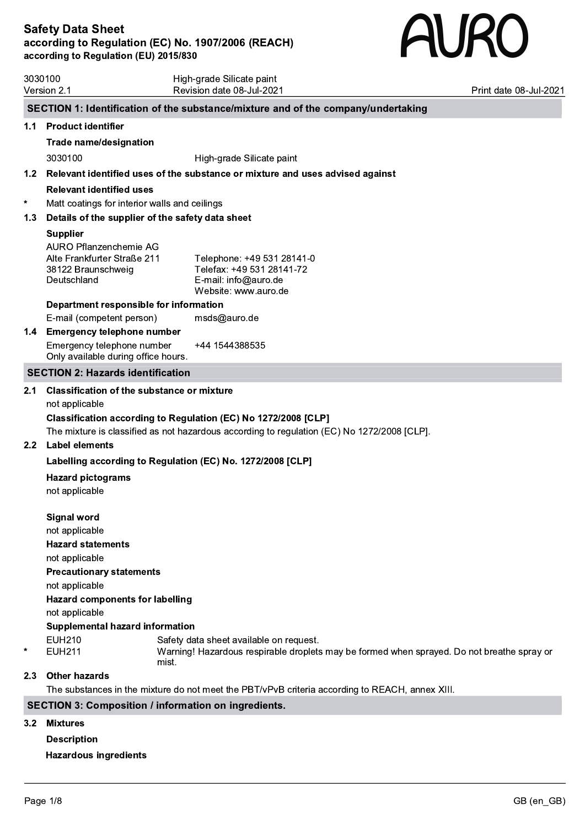# **AURO**

|                  | 3030100<br>Version 2.1                                                                     | High-grade Silicate paint<br>Revision date 08-Jul-2021                                                                                         | Print date 08-Jul-2021 |
|------------------|--------------------------------------------------------------------------------------------|------------------------------------------------------------------------------------------------------------------------------------------------|------------------------|
|                  |                                                                                            |                                                                                                                                                |                        |
|                  |                                                                                            | SECTION 1: Identification of the substance/mixture and of the company/undertaking                                                              |                        |
| 1.1              | <b>Product identifier</b>                                                                  |                                                                                                                                                |                        |
|                  | <b>Trade name/designation</b>                                                              |                                                                                                                                                |                        |
|                  | 3030100                                                                                    | High-grade Silicate paint                                                                                                                      |                        |
| 1.2 <sub>2</sub> |                                                                                            | Relevant identified uses of the substance or mixture and uses advised against                                                                  |                        |
|                  | <b>Relevant identified uses</b>                                                            |                                                                                                                                                |                        |
| $\ast$           | Matt coatings for interior walls and ceilings                                              |                                                                                                                                                |                        |
| 1.3              | Details of the supplier of the safety data sheet                                           |                                                                                                                                                |                        |
|                  | <b>Supplier</b>                                                                            |                                                                                                                                                |                        |
|                  | AURO Pflanzenchemie AG<br>Alte Frankfurter Straße 211<br>38122 Braunschweig<br>Deutschland | Telephone: +49 531 28141-0<br>Telefax: +49 531 28141-72<br>E-mail: info@auro.de<br>Website: www.auro.de                                        |                        |
|                  | Department responsible for information                                                     |                                                                                                                                                |                        |
|                  | E-mail (competent person)                                                                  | msds@auro.de                                                                                                                                   |                        |
| 1.4              | <b>Emergency telephone number</b>                                                          |                                                                                                                                                |                        |
|                  | Emergency telephone number<br>Only available during office hours.                          | +44 1544388535                                                                                                                                 |                        |
|                  | <b>SECTION 2: Hazards identification</b>                                                   |                                                                                                                                                |                        |
| $2.1\,$          | <b>Classification of the substance or mixture</b>                                          |                                                                                                                                                |                        |
|                  | not applicable                                                                             |                                                                                                                                                |                        |
|                  |                                                                                            | Classification according to Regulation (EC) No 1272/2008 [CLP]                                                                                 |                        |
|                  |                                                                                            | The mixture is classified as not hazardous according to regulation (EC) No 1272/2008 [CLP].                                                    |                        |
| 2.2 <sub>2</sub> | <b>Label elements</b>                                                                      |                                                                                                                                                |                        |
|                  | Labelling according to Regulation (EC) No. 1272/2008 [CLP]                                 |                                                                                                                                                |                        |
|                  | <b>Hazard pictograms</b>                                                                   |                                                                                                                                                |                        |
|                  | not applicable                                                                             |                                                                                                                                                |                        |
|                  |                                                                                            |                                                                                                                                                |                        |
|                  | <b>Signal word</b>                                                                         |                                                                                                                                                |                        |
|                  | not applicable                                                                             |                                                                                                                                                |                        |
|                  | <b>Hazard statements</b>                                                                   |                                                                                                                                                |                        |
|                  | not applicable                                                                             |                                                                                                                                                |                        |
|                  | <b>Precautionary statements</b>                                                            |                                                                                                                                                |                        |
|                  | not applicable                                                                             |                                                                                                                                                |                        |
|                  | <b>Hazard components for labelling</b>                                                     |                                                                                                                                                |                        |
|                  | not applicable                                                                             |                                                                                                                                                |                        |
|                  | <b>Supplemental hazard information</b>                                                     |                                                                                                                                                |                        |
| $^\star$         | <b>EUH210</b><br><b>EUH211</b>                                                             | Safety data sheet available on request.<br>Warning! Hazardous respirable droplets may be formed when sprayed. Do not breathe spray or<br>mist. |                        |
| 2.3              | <b>Other hazards</b>                                                                       |                                                                                                                                                |                        |
|                  |                                                                                            | The substances in the mixture do not meet the PBT/vPvB criteria according to REACH, annex XIII.                                                |                        |
|                  |                                                                                            | <b>SECTION 3: Composition / information on ingredients.</b>                                                                                    |                        |
|                  |                                                                                            |                                                                                                                                                |                        |
| 3.2              | Mixtures                                                                                   |                                                                                                                                                |                        |

# Description

Hazardous ingredients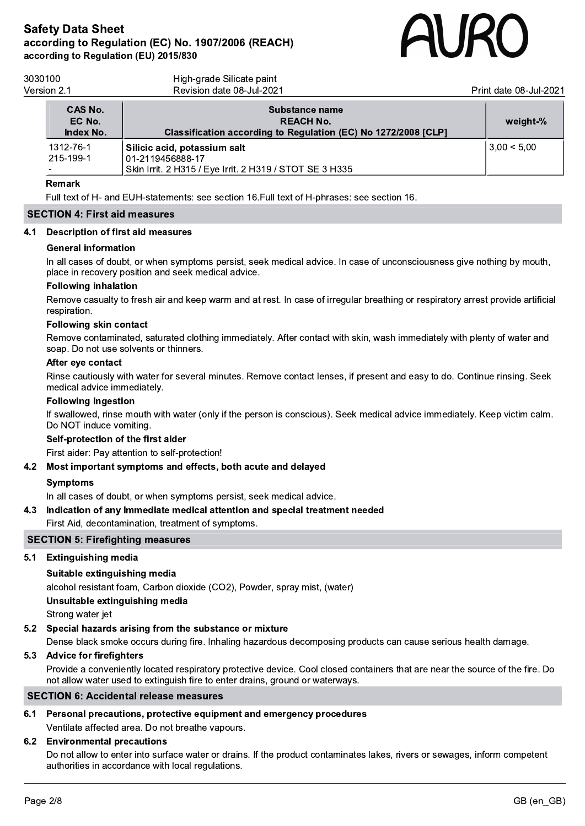

| 3030100<br>Version 2.1         | High-grade Silicate paint<br>Revision date 08-Jul-2021                                                      | Print date 08-Jul-2021 |
|--------------------------------|-------------------------------------------------------------------------------------------------------------|------------------------|
| CAS No.<br>EC No.<br>Index No. | Substance name<br><b>REACH No.</b><br>Classification according to Regulation (EC) No 1272/2008 [CLP]        | weight-%               |
| 1312-76-1<br>215-199-1         | Silicic acid, potassium salt<br>01-2119456888-17<br>Skin Irrit. 2 H315 / Eye Irrit. 2 H319 / STOT SE 3 H335 | 3.00 < 5.00            |

### Remark

Full text of H- and EUH-statements: see section 16.Full text of H-phrases: see section 16.

### SECTION 4: First aid measures

### 4.1 Description of first aid measures

### General information

In all cases of doubt, or when symptoms persist, seek medical advice. In case of unconsciousness give nothing by mouth, place in recovery position and seek medical advice.

### Following inhalation

Remove casualty to fresh air and keep warm and at rest. In case of irregular breathing or respiratory arrest provide artificial respiration.

### Following skin contact

Remove contaminated, saturated clothing immediately. After contact with skin, wash immediately with plenty of water and soap. Do not use solvents or thinners.

### After eye contact

Rinse cautiously with water for several minutes. Remove contact lenses, if present and easy to do. Continue rinsing. Seek medical advice immediately.

### Following ingestion

If swallowed, rinse mouth with water (only if the person is conscious). Seek medical advice immediately. Keep victim calm. Do NOT induce vomiting.

### Self-protection of the first aider

First aider: Pay attention to self-protection!

### 4.2 Most important symptoms and effects, both acute and delayed

### Symptoms

In all cases of doubt, or when symptoms persist, seek medical advice.

### 4.3 Indication of any immediate medical attention and special treatment needed

First Aid, decontamination, treatment of symptoms.

### SECTION 5: Firefighting measures

### 5.1 Extinguishing media

### Suitable extinguishing media

alcohol resistant foam, Carbon dioxide (CO2), Powder, spray mist, (water)

Unsuitable extinguishing media

Strong water jet

### 5.2 Special hazards arising from the substance or mixture

Dense black smoke occurs during fire. Inhaling hazardous decomposing products can cause serious health damage.

### 5.3 Advice for firefighters

Provide a conveniently located respiratory protective device. Cool closed containers that are near the source of the fire. Do not allow water used to extinguish fire to enter drains, ground or waterways.

### SECTION 6: Accidental release measures

# 6.1 Personal precautions, protective equipment and emergency procedures

Ventilate affected area. Do not breathe vapours.

# 6.2 Environmental precautions

Do not allow to enter into surface water or drains. If the product contaminates lakes, rivers or sewages, inform competent authorities in accordance with local regulations.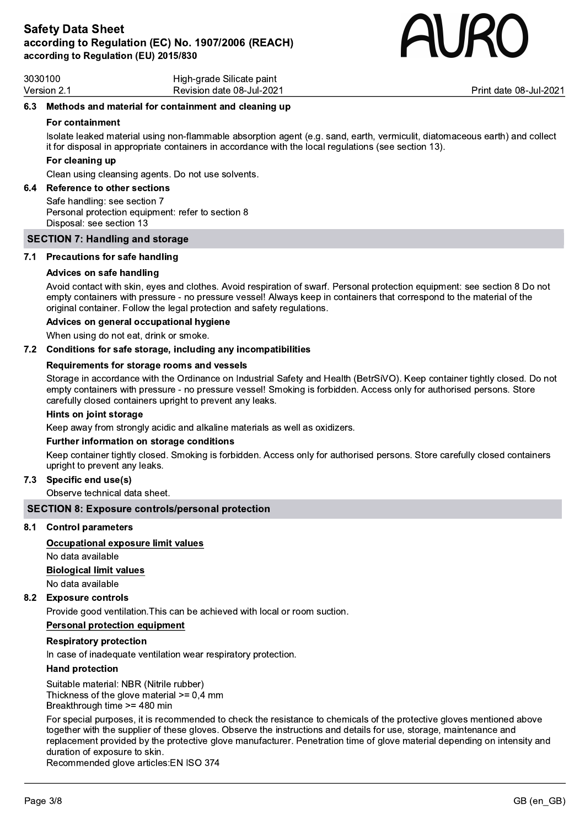

| 3030100     | High-grade Silicate paint |
|-------------|---------------------------|
| Version 2.1 | Revision date 08-Jul-2021 |

Version 2.1 Revision date 08-Jul-2021 Print date 08-Jul-2021

### 6.3 Methods and material for containment and cleaning up

### For containment

Isolate leaked material using non-flammable absorption agent (e.g. sand, earth, vermiculit, diatomaceous earth) and collect it for disposal in appropriate containers in accordance with the local regulations (see section 13).

### For cleaning up

Clean using cleansing agents. Do not use solvents.

# 6.4 Reference to other sections

Safe handling: see section 7 Personal protection equipment: refer to section 8 Disposal: see section 13

### SECTION 7: Handling and storage

### 7.1 Precautions for safe handling

### Advices on safe handling

Avoid contact with skin, eyes and clothes. Avoid respiration of swarf. Personal protection equipment: see section 8 Do not empty containers with pressure - no pressure vessel! Always keep in containers that correspond to the material of the original container. Follow the legal protection and safety regulations.

### Advices on general occupational hygiene

When using do not eat, drink or smoke.

### 7.2 Conditions for safe storage, including any incompatibilities

### Requirements for storage rooms and vessels

Storage in accordance with the Ordinance on Industrial Safety and Health (BetrSiVO). Keep container tightly closed. Do not empty containers with pressure - no pressure vessel! Smoking is forbidden. Access only for authorised persons. Store carefully closed containers upright to prevent any leaks.

### Hints on joint storage

Keep away from strongly acidic and alkaline materials as well as oxidizers.

### Further information on storage conditions

Keep container tightly closed. Smoking is forbidden. Access only for authorised persons. Store carefully closed containers upright to prevent any leaks.

### 7.3 Specific end use(s)

Observe technical data sheet.

### SECTION 8: Exposure controls/personal protection

### 8.1 Control parameters

### Occupational exposure limit values

No data available Biological limit values No data available

### 8.2 Exposure controls

Provide good ventilation.This can be achieved with local or room suction.

### Personal protection equipment

### Respiratory protection

In case of inadequate ventilation wear respiratory protection.

### Hand protection

Suitable material: NBR (Nitrile rubber) Thickness of the glove material  $>= 0.4$  mm Breakthrough time >= 480 min

For special purposes, it is recommended to check the resistance to chemicals of the protective gloves mentioned above together with the supplier of these gloves. Observe the instructions and details for use, storage, maintenance and replacement provided by the protective glove manufacturer. Penetration time of glove material depending on intensity and duration of exposure to skin.

Recommended glove articles:EN ISO 374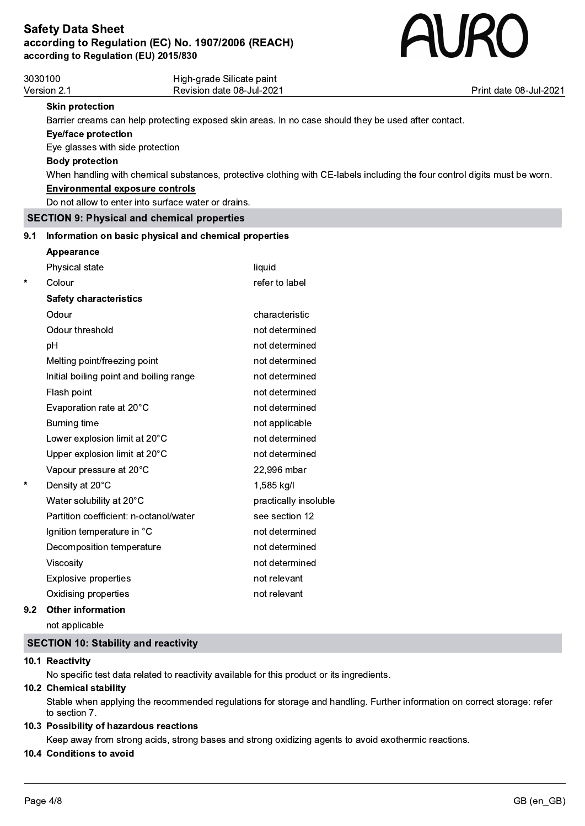

|         | 3030100                                             | High-grade Silicate paint<br>Revision date 08-Jul-2021                                                                     |                        |
|---------|-----------------------------------------------------|----------------------------------------------------------------------------------------------------------------------------|------------------------|
|         | Version 2.1                                         |                                                                                                                            | Print date 08-Jul-2021 |
|         | <b>Skin protection</b>                              |                                                                                                                            |                        |
|         | <b>Eye/face protection</b>                          | Barrier creams can help protecting exposed skin areas. In no case should they be used after contact.                       |                        |
|         | Eye glasses with side protection                    |                                                                                                                            |                        |
|         | <b>Body protection</b>                              |                                                                                                                            |                        |
|         |                                                     | When handling with chemical substances, protective clothing with CE-labels including the four control digits must be worn. |                        |
|         | <b>Environmental exposure controls</b>              |                                                                                                                            |                        |
|         | Do not allow to enter into surface water or drains. |                                                                                                                            |                        |
|         | <b>SECTION 9: Physical and chemical properties</b>  |                                                                                                                            |                        |
| 9.1     |                                                     | Information on basic physical and chemical properties                                                                      |                        |
|         | <b>Appearance</b>                                   |                                                                                                                            |                        |
|         | Physical state                                      | liquid                                                                                                                     |                        |
| $\star$ | Colour                                              | refer to label                                                                                                             |                        |
|         | <b>Safety characteristics</b>                       |                                                                                                                            |                        |
|         | Odour                                               | characteristic                                                                                                             |                        |
|         | Odour threshold                                     | not determined                                                                                                             |                        |
|         | pH                                                  | not determined                                                                                                             |                        |
|         | Melting point/freezing point                        | not determined                                                                                                             |                        |
|         | Initial boiling point and boiling range             | not determined                                                                                                             |                        |
|         | Flash point                                         | not determined                                                                                                             |                        |
|         | Evaporation rate at 20°C                            | not determined                                                                                                             |                        |
|         | Burning time                                        | not applicable                                                                                                             |                        |
|         | Lower explosion limit at 20°C                       | not determined                                                                                                             |                        |
|         | Upper explosion limit at 20°C                       | not determined                                                                                                             |                        |
|         | Vapour pressure at 20°C                             | 22,996 mbar                                                                                                                |                        |
| $\star$ | Density at 20°C                                     | 1,585 kg/l                                                                                                                 |                        |
|         | Water solubility at 20°C                            | practically insoluble                                                                                                      |                        |
|         | Partition coefficient: n-octanol/water              | see section 12                                                                                                             |                        |
|         | Ignition temperature in °C                          | not determined                                                                                                             |                        |
|         | Decomposition temperature                           | not determined                                                                                                             |                        |
|         | Viscosity                                           | not determined                                                                                                             |                        |
|         | <b>Explosive properties</b>                         | not relevant                                                                                                               |                        |
|         | Oxidising properties                                | not relevant                                                                                                               |                        |
| 9.2     | <b>Other information</b>                            |                                                                                                                            |                        |
|         | not applicable                                      |                                                                                                                            |                        |

# SECTION 10: Stability and reactivity

### 10.1 Reactivity

No specific test data related to reactivity available for this product or its ingredients.

### 10.2 Chemical stability

Stable when applying the recommended regulations for storage and handling. Further information on correct storage: refer to section 7.

# 10.3 Possibility of hazardous reactions

Keep away from strong acids, strong bases and strong oxidizing agents to avoid exothermic reactions.

# 10.4 Conditions to avoid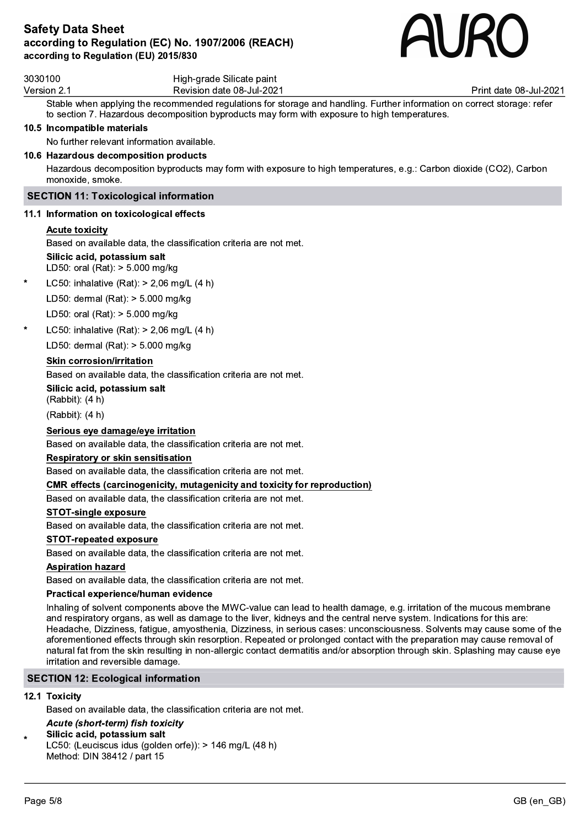

| 3030100     | High-grade Silicate paint |
|-------------|---------------------------|
| Version 2.1 | Revision date 08-Jul-2021 |

Print date 08-Jul-2021

Stable when applying the recommended regulations for storage and handling. Further information on correct storage: refer to section 7. Hazardous decomposition byproducts may form with exposure to high temperatures.

### 10.5 Incompatible materials

No further relevant information available.

### 10.6 Hazardous decomposition products

Hazardous decomposition byproducts may form with exposure to high temperatures, e.g.: Carbon dioxide (CO2), Carbon monoxide, smoke.

### SECTION 11: Toxicological information

### 11.1 Information on toxicological effects

### Acute toxicity

Based on available data, the classification criteria are not met.

### Silicic acid, potassium salt

LD50: oral (Rat): > 5.000 mg/kg

LC50: inhalative (Rat):  $> 2,06$  mg/L (4 h)

LD50: dermal (Rat): > 5.000 mg/kg

LD50: oral (Rat): > 5.000 mg/kg

LC50: inhalative (Rat):  $> 2,06$  mg/L (4 h)

LD50: dermal (Rat): > 5.000 mg/kg

### Skin corrosion/irritation

Based on available data, the classification criteria are not met.

Silicic acid, potassium salt

(Rabbit): (4 h)

(Rabbit): (4 h)

### Serious eye damage/eye irritation

Based on available data, the classification criteria are not met.

### Respiratory or skin sensitisation

Based on available data, the classification criteria are not met.

### CMR effects (carcinogenicity, mutagenicity and toxicity for reproduction)

Based on available data, the classification criteria are not met.

### STOT-single exposure

Based on available data, the classification criteria are not met.

### STOT-repeated exposure

Based on available data, the classification criteria are not met.

### Aspiration hazard

Based on available data, the classification criteria are not met.

### Practical experience/human evidence

Inhaling of solvent components above the MWC-value can lead to health damage, e.g. irritation of the mucous membrane and respiratory organs, as well as damage to the liver, kidneys and the central nerve system. Indications for this are: Headache, Dizziness, fatigue, amyosthenia, Dizziness, in serious cases: unconsciousness. Solvents may cause some of the aforementioned effects through skin resorption. Repeated or prolonged contact with the preparation may cause removal of natural fat from the skin resulting in non-allergic contact dermatitis and/or absorption through skin. Splashing may cause eye irritation and reversible damage.

### SECTION 12: Ecological information

### 12.1 Toxicity

Based on available data, the classification criteria are not met.

### Acute (short-term) fish toxicity

# Silicic acid, potassium salt

\* LC50: (Leuciscus idus (golden orfe)): > 146 mg/L (48 h) Method: DIN 38412 / part 15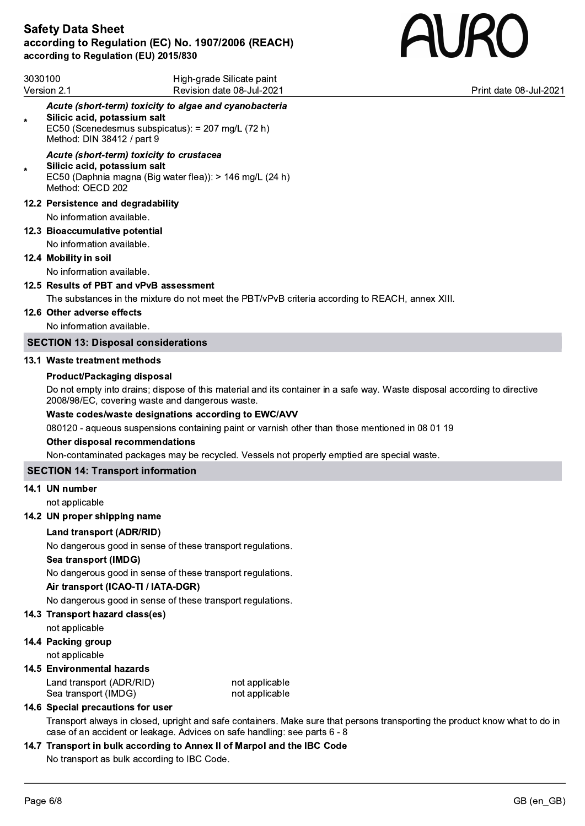

| 3030100<br>Version 2.1 |                                                                                              | High-grade Silicate paint<br>Revision date 08-Jul-2021                                                                    | Print date 08-Jul-2021 |
|------------------------|----------------------------------------------------------------------------------------------|---------------------------------------------------------------------------------------------------------------------------|------------------------|
| $\star$                | Silicic acid, potassium salt<br>EC50 (Scenedesmus subspicatus): = 207 mg/L (72 h)            | Acute (short-term) toxicity to algae and cyanobacteria                                                                    |                        |
|                        | Method: DIN 38412 / part 9                                                                   |                                                                                                                           |                        |
| $\star$                | Acute (short-term) toxicity to crustacea<br>Silicic acid, potassium salt<br>Method: OECD 202 | EC50 (Daphnia magna (Big water flea)): > 146 mg/L (24 h)                                                                  |                        |
|                        | 12.2 Persistence and degradability                                                           |                                                                                                                           |                        |
|                        | No information available.                                                                    |                                                                                                                           |                        |
|                        | 12.3 Bioaccumulative potential                                                               |                                                                                                                           |                        |
|                        | No information available.                                                                    |                                                                                                                           |                        |
|                        | 12.4 Mobility in soil                                                                        |                                                                                                                           |                        |
|                        | No information available.                                                                    |                                                                                                                           |                        |
|                        | 12.5 Results of PBT and vPvB assessment                                                      |                                                                                                                           |                        |
|                        |                                                                                              | The substances in the mixture do not meet the PBT/vPvB criteria according to REACH, annex XIII.                           |                        |
|                        | 12.6 Other adverse effects                                                                   |                                                                                                                           |                        |
|                        | No information available.                                                                    |                                                                                                                           |                        |
|                        | <b>SECTION 13: Disposal considerations</b>                                                   |                                                                                                                           |                        |
|                        | 13.1 Waste treatment methods                                                                 |                                                                                                                           |                        |
|                        | <b>Product/Packaging disposal</b>                                                            |                                                                                                                           |                        |
|                        | 2008/98/EC, covering waste and dangerous waste.                                              | Do not empty into drains; dispose of this material and its container in a safe way. Waste disposal according to directive |                        |
|                        |                                                                                              | Waste codes/waste designations according to EWC/AVV                                                                       |                        |
|                        |                                                                                              | 080120 - aqueous suspensions containing paint or varnish other than those mentioned in 08 01 19                           |                        |
|                        | Other disposal recommendations                                                               |                                                                                                                           |                        |
|                        |                                                                                              | Non-contaminated packages may be recycled. Vessels not properly emptied are special waste.                                |                        |
|                        | <b>SECTION 14: Transport information</b>                                                     |                                                                                                                           |                        |
|                        | 14.1 UN number                                                                               |                                                                                                                           |                        |
|                        | not applicable                                                                               |                                                                                                                           |                        |
|                        | 14.2 UN proper shipping name                                                                 |                                                                                                                           |                        |
|                        | <b>Land transport (ADR/RID)</b>                                                              |                                                                                                                           |                        |
|                        |                                                                                              | No dangerous good in sense of these transport regulations.                                                                |                        |
|                        | Sea transport (IMDG)                                                                         |                                                                                                                           |                        |
|                        |                                                                                              | No dangerous good in sense of these transport regulations.                                                                |                        |
|                        | Air transport (ICAO-TI / IATA-DGR)                                                           |                                                                                                                           |                        |
|                        |                                                                                              | No dangerous good in sense of these transport regulations.                                                                |                        |
|                        | 14.3 Transport hazard class(es)                                                              |                                                                                                                           |                        |
|                        | not applicable                                                                               |                                                                                                                           |                        |
|                        | 14.4 Packing group                                                                           |                                                                                                                           |                        |
|                        | not applicable                                                                               |                                                                                                                           |                        |
|                        | 14.5 Environmental hazards                                                                   |                                                                                                                           |                        |
|                        | Land transport (ADR/RID)                                                                     | not applicable                                                                                                            |                        |

# 14.6 Special precautions for user

Transport always in closed, upright and safe containers. Make sure that persons transporting the product know what to do in case of an accident or leakage. Advices on safe handling: see parts 6 - 8

# 14.7 Transport in bulk according to Annex II of Marpol and the IBC Code

Sea transport (IMDG) not applicable

No transport as bulk according to IBC Code.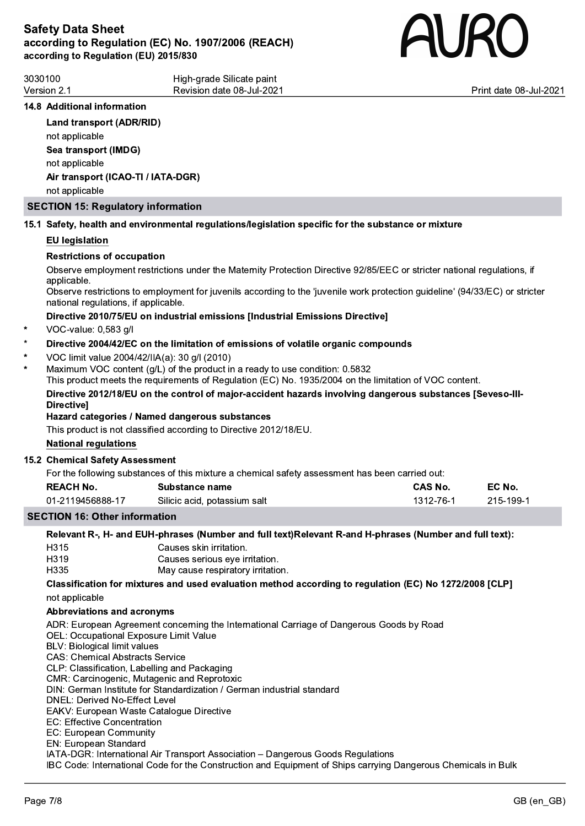

Print date 08-Jul-2021

| 3030100     | High-grade Silicate paint |
|-------------|---------------------------|
| Version 2.1 | Revision date 08-Jul-2021 |
|             |                           |

# 14.8 Additional information

### Land transport (ADR/RID)

not applicable Sea transport (IMDG) not applicable Air transport (ICAO-TI / IATA-DGR) not applicable

### SECTION 15: Regulatory information

### 15.1 Safety, health and environmental regulations/legislation specific for the substance or mixture

### EU legislation

### Restrictions of occupation

Observe employment restrictions under the Maternity Protection Directive 92/85/EEC or stricter national regulations, if applicable.<br>Observe restrictions to employment for juvenils according to the 'juvenile work protection guideline' (94/33/EC) or stricter

national regulations, if applicable.

### Directive 2010/75/EU on industrial emissions [Industrial Emissions Directive]

VOC-value: 0,583 g/l

### Directive 2004/42/EC on the limitation of emissions of volatile organic compounds

- \* VOC limit value 2004/42/IIA(a): 30 g/l (2010)
- Maximum VOC content (g/L) of the product in a ready to use condition: 0.5832

This product meets the requirements of Regulation (EC) No. 1935/2004 on the limitation of VOC content.

### Directive 2012/18/EU on the control of major-accident hazards involving dangerous substances [Seveso-III- **Directivel**

# Hazard categories / Named dangerous substances

This product is not classified according to Directive 2012/18/EU.

### National regulations

# 15.2 Chemical Safety Assessment

For the following substances of this mixture a chemical safety assessment has been carried out:

| <b>REACH No.</b> | Substance name               | <b>CAS No.</b> | EC No.    |
|------------------|------------------------------|----------------|-----------|
| 01-2119456888-17 | Silicic acid, potassium salt | 1312-76-1      | 215-199-1 |
|                  |                              |                |           |

# SECTION 16: Other information

# Relevant R-, H- and EUH-phrases (Number and full text)Relevant R-and H-phrases (Number and full text):

| H315              | Causes skin irritation.           |
|-------------------|-----------------------------------|
| H <sub>3</sub> 19 | Causes serious eye irritation.    |
| H335              | May cause respiratory irritation. |

Classification for mixtures and used evaluation method according to regulation (EC) No 1272/2008 [CLP] not applicable

# Abbreviations and acronyms

ADR: European Agreement concerning the International Carriage of Dangerous Goods by Road

OEL: Occupational Exposure Limit Value

- BLV: Biological limit values
- CAS: Chemical Abstracts Service

CLP: Classification, Labelling and Packaging

CMR: Carcinogenic, Mutagenic and Reprotoxic

DIN: German Institute for Standardization / German industrial standard

DNEL: Derived No-Effect Level

EAKV: European Waste Catalogue Directive

EC: Effective Concentration

EC: European Community EN: European Standard

IATA-DGR: International Air Transport Association – Dangerous Goods Regulations

IBC Code: International Code for the Construction and Equipment of Ships carrying Dangerous Chemicals in Bulk